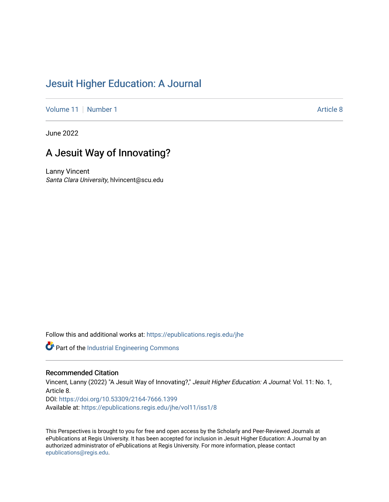## [Jesuit Higher Education: A Journal](https://epublications.regis.edu/jhe)

[Volume 11](https://epublications.regis.edu/jhe/vol11) | [Number 1](https://epublications.regis.edu/jhe/vol11/iss1) Article 8

June 2022

# A Jesuit Way of Innovating?

Lanny Vincent Santa Clara University, hlvincent@scu.edu

Follow this and additional works at: [https://epublications.regis.edu/jhe](https://epublications.regis.edu/jhe?utm_source=epublications.regis.edu%2Fjhe%2Fvol11%2Fiss1%2F8&utm_medium=PDF&utm_campaign=PDFCoverPages) 

Part of the [Industrial Engineering Commons](https://network.bepress.com/hgg/discipline/307?utm_source=epublications.regis.edu%2Fjhe%2Fvol11%2Fiss1%2F8&utm_medium=PDF&utm_campaign=PDFCoverPages)

#### Recommended Citation

Vincent, Lanny (2022) "A Jesuit Way of Innovating?," Jesuit Higher Education: A Journal: Vol. 11: No. 1, Article 8. DOI:<https://doi.org/10.53309/2164-7666.1399> Available at: [https://epublications.regis.edu/jhe/vol11/iss1/8](https://epublications.regis.edu/jhe/vol11/iss1/8?utm_source=epublications.regis.edu%2Fjhe%2Fvol11%2Fiss1%2F8&utm_medium=PDF&utm_campaign=PDFCoverPages)

This Perspectives is brought to you for free and open access by the Scholarly and Peer-Reviewed Journals at ePublications at Regis University. It has been accepted for inclusion in Jesuit Higher Education: A Journal by an authorized administrator of ePublications at Regis University. For more information, please contact [epublications@regis.edu.](mailto:epublications@regis.edu)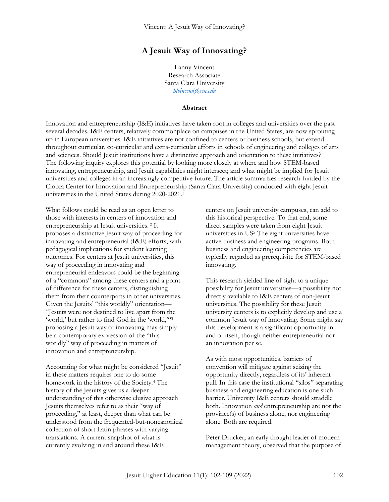## **A Jesuit Way of Innovating?**

Lanny Vincent Research Associate Santa Clara University *[hlvincent@scu.edu](mailto:hlvincent@scu.edu)*

#### **Abstract**

Innovation and entrepreneurship (I&E) initiatives have taken root in colleges and universities over the past several decades. I&E centers, relatively commonplace on campuses in the United States, are now sprouting up in European universities. I&E initiatives are not confined to centers or business schools, but extend throughout curricular, co-curricular and extra-curricular efforts in schools of engineering and colleges of arts and sciences. Should Jesuit institutions have a distinctive approach and orientation to these initiatives? The following inquiry explores this potential by looking more closely at where and how STEM-based innovating, entrepreneurship, and Jesuit capabilities might intersect; and what might be implied for Jesuit universities and colleges in an increasingly competitive future. The article summarizes research funded by the Ciocca Center for Innovation and Entrepreneurship (Santa Clara University) conducted with eight Jesuit universities in the United States during 2020-2021.<sup>1</sup>

What follows could be read as an open letter to those with interests in centers of innovation and entrepreneurship at Jesuit universities. <sup>2</sup> It proposes a distinctive Jesuit way of proceeding for innovating and entrepreneurial (I&E) efforts, with pedagogical implications for student learning outcomes. For centers at Jesuit universities, this way of proceeding in innovating and entrepreneurial endeavors could be the beginning of a "commons" among these centers and a point of difference for these centers, distinguishing them from their counterparts in other universities. Given the Jesuits' "this worldly" orientation— "Jesuits were not destined to live apart from the 'world,' but rather to find God in the 'world,'"<sup>3</sup> proposing a Jesuit way of innovating may simply be a contemporary expression of the "this worldly" way of proceeding in matters of innovation and entrepreneurship.

Accounting for what might be considered "Jesuit" in these matters requires one to do some homework in the history of the Society.<sup>4</sup> The history of the Jesuits gives us a deeper understanding of this otherwise elusive approach Jesuits themselves refer to as their "way of proceeding," at least, deeper than what can be understood from the frequented-but-noncanonical collection of short Latin phrases with varying translations. A current snapshot of what is currently evolving in and around these I&E

centers on Jesuit university campuses, can add to this historical perspective. To that end, some direct samples were taken from eight Jesuit universities in US<sup>5</sup> The eight universities have active business and engineering programs. Both business and engineering competencies are typically regarded as prerequisite for STEM-based innovating.

This research yielded line of sight to a unique possibility for Jesuit universities—a possibility not directly available to I&E centers of non-Jesuit universities. The possibility for these Jesuit university centers is to explicitly develop and use a common Jesuit way of innovating. Some might say this development is a significant opportunity in and of itself, though neither entrepreneurial nor an innovation per se.

As with most opportunities, barriers of convention will mitigate against seizing the opportunity directly, regardless of its' inherent pull. In this case the institutional "silos" separating business and engineering education is one such barrier. University I&E centers should straddle both. Innovation *and* entrepreneurship are not the province(s) of business alone, nor engineering alone. Both are required.

Peter Drucker, an early thought leader of modern management theory, observed that the purpose of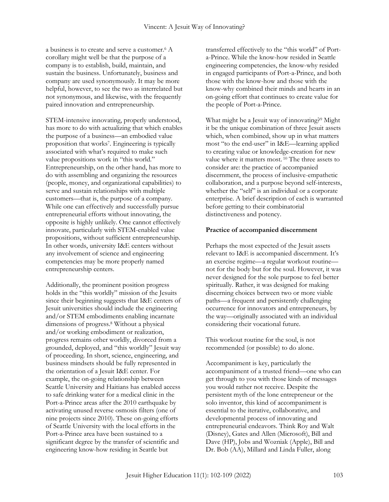a business is to create and serve a customer.<sup>6</sup> A corollary might well be that the purpose of a company is to establish, build, maintain, and sustain the business. Unfortunately, business and company are used synonymously. It may be more helpful, however, to see the two as interrelated but not synonymous, and likewise, with the frequently paired innovation and entrepreneurship.

STEM-intensive innovating, properly understood, has more to do with actualizing that which enables the purpose of a business—an embodied value proposition that works<sup>7</sup> . Engineering is typically associated with what's required to make such value propositions work in "this world." Entrepreneurship, on the other hand, has more to do with assembling and organizing the resources (people, money, and organizational capabilities) to serve and sustain relationships with multiple customers—that is, the purpose of a company. While one can effectively and successfully pursue entrepreneurial efforts without innovating, the opposite is highly unlikely. One cannot effectively innovate, particularly with STEM-enabled value propositions, without sufficient entrepreneurship. In other words, university I&E centers without any involvement of science and engineering competencies may be more properly named entrepreneurship centers.

Additionally, the prominent position progress holds in the "this worldly" mission of the Jesuits since their beginning suggests that I&E centers of Jesuit universities should include the engineering and/or STEM embodiments enabling incarnate dimensions of progress. <sup>8</sup> Without a physical and/or working embodiment or realization, progress remains other worldly, divorced from a grounded, deployed, and "this worldly" Jesuit way of proceeding. In short, science, engineering, and business mindsets should be fully represented in the orientation of a Jesuit I&E center. For example, the on-going relationship between Seattle University and Haitians has enabled access to safe drinking water for a medical clinic in the Port-a-Prince areas after the 2010 earthquake by activating unused reverse osmosis filters (one of nine projects since 2010). These on-going efforts of Seattle University with the local efforts in the Port-a-Prince area have been sustained to a significant degree by the transfer of scientific and engineering know-how residing in Seattle but

transferred effectively to the "this world" of Porta-Prince. While the know-how resided in Seattle engineering competencies, the know-why resided in engaged participants of Port-a-Prince, and both those with the know-how and those with the know-why combined their minds and hearts in an on-going effort that continues to create value for the people of Port-a-Prince.

What might be a Jesuit way of innovating?<sup>9</sup> Might it be the unique combination of three Jesuit assets which, when combined, show up in what matters most "to the end-user" in I&E—learning applied to creating value or knowledge-creation for new value where it matters most. <sup>10</sup> The three assets to consider are: the practice of accompanied discernment, the process of inclusive-empathetic collaboration, and a purpose beyond self-interests, whether the "self" is an individual or a corporate enterprise. A brief description of each is warranted before getting to their combinatorial distinctiveness and potency.

### **Practice of accompanied discernment**

Perhaps the most expected of the Jesuit assets relevant to I&E is accompanied discernment. It's an exercise regime—a regular workout routine not for the body but for the soul. However, it was never designed for the sole purpose to feel better spiritually. Rather, it was designed for making discerning choices between two or more viable paths—a frequent and persistently challenging occurrence for innovators and entrepreneurs, by the way—originally associated with an individual considering their vocational future.

This workout routine for the soul, is not recommended (or possible) to do alone.

Accompaniment is key, particularly the accompaniment of a trusted friend—one who can get through to you with those kinds of messages you would rather not receive. Despite the persistent myth of the lone entrepreneur or the solo inventor, this kind of accompaniment is essential to the iterative, collaborative, and developmental process of innovating and entrepreneurial endeavors. Think Roy and Walt (Disney), Gates and Allen (Microsoft), Bill and Dave (HP), Jobs and Wozniak (Apple), Bill and Dr. Bob (AA), Millard and Linda Fuller, along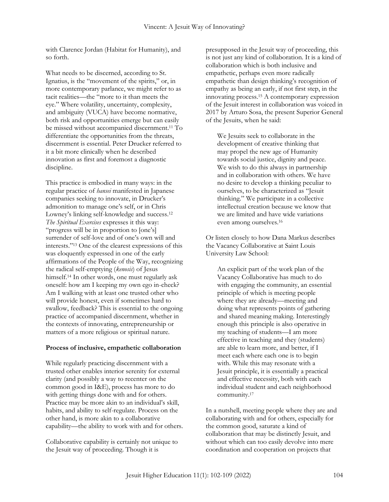with Clarence Jordan (Habitat for Humanity), and so forth.

What needs to be discerned, according to St. Ignatius, is the "movement of the spirits," or, in more contemporary parlance, we might refer to as tacit realities—the "more to it than meets the eye." Where volatility, uncertainty, complexity, and ambiguity (VUCA) have become normative, both risk and opportunities emerge but can easily be missed without accompanied discernment.<sup>11</sup> To differentiate the opportunities from the threats, discernment is essential. Peter Drucker referred to it a bit more clinically when he described innovation as first and foremost a diagnostic discipline.

This practice is embodied in many ways: in the regular practice of *hansei* manifested in Japanese companies seeking to innovate, in Drucker's admonition to manage one's self, or in Chris Lowney's linking self-knowledge and success.<sup>12</sup> *The Spiritual Exercises* expresses it this way: "progress will be in proportion to [one's] surrender of self-love and of one's own will and interests." <sup>13</sup> One of the clearest expressions of this was eloquently expressed in one of the early affirmations of the People of the Way, recognizing the radical self-emptying (*kenosis*) of Jesus himself.<sup>14</sup> In other words, one must regularly ask oneself: how am I keeping my own ego in-check? Am I walking with at least one trusted other who will provide honest, even if sometimes hard to swallow, feedback? This is essential to the ongoing practice of accompanied discernment, whether in the contexts of innovating, entrepreneurship or matters of a more religious or spiritual nature.

#### **Process of inclusive, empathetic collaboration**

While regularly practicing discernment with a trusted other enables interior serenity for external clarity (and possibly a way to recenter on the common good in I&E), process has more to do with getting things done with and for others. Practice may be more akin to an individual's skill, habits, and ability to self-regulate. Process on the other hand, is more akin to a collaborative capability—the ability to work with and for others.

Collaborative capability is certainly not unique to the Jesuit way of proceeding. Though it is

presupposed in the Jesuit way of proceeding, this is not just any kind of collaboration. It is a kind of collaboration which is both inclusive and empathetic, perhaps even more radically empathetic than design thinking's recognition of empathy as being an early, if not first step, in the innovating process.<sup>15</sup> A contemporary expression of the Jesuit interest in collaboration was voiced in 2017 by Arturo Sosa, the present Superior General of the Jesuits, when he said:

We Jesuits seek to collaborate in the development of creative thinking that may propel the new age of Humanity towards social justice, dignity and peace. We wish to do this always in partnership and in collaboration with others. We have no desire to develop a thinking peculiar to ourselves, to be characterized as "Jesuit thinking." We participate in a collective intellectual creation because we know that we are limited and have wide variations even among ourselves.<sup>16</sup>

Or listen closely to how Dana Markus describes the Vacancy Collaborative at Saint Louis University Law School:

An explicit part of the work plan of the Vacancy Collaborative has much to do with engaging the community, an essential principle of which is meeting people where they are already—meeting and doing what represents points of gathering and shared meaning making. Interestingly enough this principle is also operative in my teaching of students—I am more effective in teaching and they (students) are able to learn more, and better, if I meet each where each one is to begin with. While this may resonate with a Jesuit principle, it is essentially a practical and effective necessity, both with each individual student and each neighborhood community.<sup>17</sup>

In a nutshell, meeting people where they are and collaborating with and for others, especially for the common good, saturate a kind of collaboration that may be distinctly Jesuit, and without which can too easily devolve into mere coordination and cooperation on projects that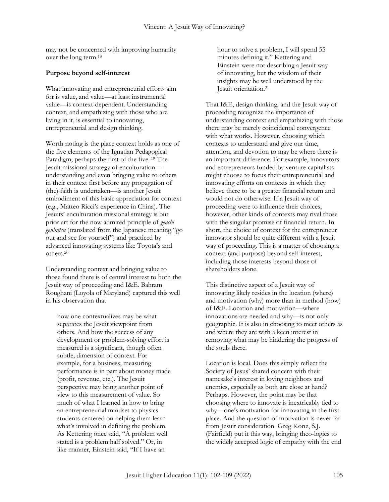may not be concerned with improving humanity over the long term.<sup>18</sup>

### **Purpose beyond self-interest**

What innovating and entrepreneurial efforts aim for is value, and value—at least instrumental value—is context-dependent. Understanding context, and empathizing with those who are living in it, is essential to innovating, entrepreneurial and design thinking.

Worth noting is the place context holds as one of the five elements of the Ignatian Pedagogical Paradigm, perhaps the first of the five. <sup>19</sup> The Jesuit missional strategy of enculturation understanding and even bringing value to others in their context first before any propagation of (the) faith is undertaken—is another Jesuit embodiment of this basic appreciation for context (e.g., Matteo Ricci's experience in China). The Jesuits' enculturation missional strategy is but prior art for the now admired principle of *genchi genbutsu* (translated from the Japanese meaning "go out and see for yourself") and practiced by advanced innovating systems like Toyota's and others.<sup>20</sup>

Understanding context and bringing value to those found there is of central interest to both the Jesuit way of proceeding and I&E. Bahram Roughani (Loyola of Maryland) captured this well in his observation that

how one contextualizes may be what separates the Jesuit viewpoint from others. And how the success of any development or problem-solving effort is measured is a significant, though often subtle, dimension of context. For example, for a business, measuring performance is in part about money made (profit, revenue, etc.). The Jesuit perspective may bring another point of view to this measurement of value. So much of what I learned in how to bring an entrepreneurial mindset to physics students centered on helping them learn what's involved in defining the problem. As Kettering once said, "A problem well stated is a problem half solved." Or, in like manner, Einstein said, "If I have an

hour to solve a problem, I will spend 55 minutes defining it." Kettering and Einstein were not describing a Jesuit way of innovating, but the wisdom of their insights may be well understood by the Jesuit orientation.<sup>21</sup>

That I&E, design thinking, and the Jesuit way of proceeding recognize the importance of understanding context and empathizing with those there may be merely coincidental convergence with what works. However, choosing which contexts to understand and give our time, attention, and devotion to may be where there is an important difference. For example, innovators and entrepreneurs funded by venture capitalists might choose to focus their entrepreneurial and innovating efforts on contexts in which they believe there to be a greater financial return and would not do otherwise. If a Jesuit way of proceeding were to influence their choices, however, other kinds of contexts may rival those with the singular promise of financial return. In short, the choice of context for the entrepreneur innovator should be quite different with a Jesuit way of proceeding. This is a matter of choosing a context (and purpose) beyond self-interest, including those interests beyond those of shareholders alone.

This distinctive aspect of a Jesuit way of innovating likely resides in the location (where) and motivation (why) more than in method (how) of I&E. Location and motivation—where innovations are needed and why—is not only geographic. It is also in choosing to meet others as and where they are with a keen interest in removing what may be hindering the progress of the souls there.

Location is local. Does this simply reflect the Society of Jesus' shared concern with their namesake's interest in loving neighbors and enemies, especially as both are close at hand? Perhaps. However, the point may be that choosing where to innovate is inextricably tied to why—one's motivation for innovating in the first place. And the question of motivation is never far from Jesuit consideration. Greg Konz, S.J. (Fairfield) put it this way, bringing theo-logics to the widely accepted logic of empathy with the end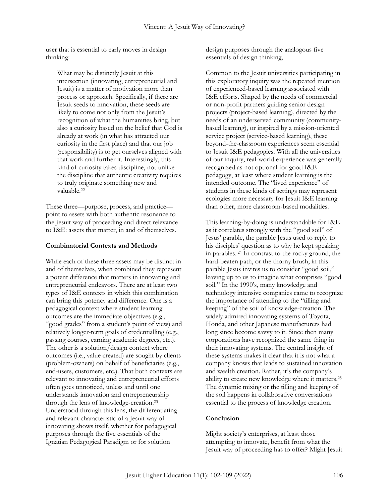user that is essential to early moves in design thinking:

What may be distinctly Jesuit at this intersection (innovating, entrepreneurial and Jesuit) is a matter of motivation more than process or approach. Specifically, if there are Jesuit seeds to innovation, these seeds are likely to come not only from the Jesuit's recognition of what the humanities bring, but also a curiosity based on the belief that God is already at work (in what has attracted our curiosity in the first place) and that our job (responsibility) is to get ourselves aligned with that work and further it. Interestingly, this kind of curiosity takes discipline, not unlike the discipline that authentic creativity requires to truly originate something new and valuable.<sup>22</sup>

These three—purpose, process, and practice point to assets with both authentic resonance to the Jesuit way of proceeding and direct relevance to I&E: assets that matter, in and of themselves.

#### **Combinatorial Contexts and Methods**

While each of these three assets may be distinct in and of themselves, when combined they represent a potent difference that matters in innovating and entrepreneurial endeavors. There are at least two types of I&E contexts in which this combination can bring this potency and difference. One is a pedagogical context where student learning outcomes are the immediate objectives (e.g., "good grades" from a student's point of view) and relatively longer-term goals of credentialling (e.g., passing courses, earning academic degrees, etc.). The other is a solution/design context where outcomes (i.e., value created) are sought by clients (problem-owners) on behalf of beneficiaries (e.g., end-users, customers, etc.). That both contexts are relevant to innovating and entrepreneurial efforts often goes unnoticed, unless and until one understands innovation and entrepreneurship through the lens of knowledge-creation.<sup>23</sup> Understood through this lens, the differentiating and relevant characteristic of a Jesuit way of innovating shows itself, whether for pedagogical purposes through the five essentials of the Ignatian Pedagogical Paradigm or for solution

design purposes through the analogous five essentials of design thinking,

Common to the Jesuit universities participating in this exploratory inquiry was the repeated mention of experienced-based learning associated with I&E efforts. Shaped by the needs of commercial or non-profit partners guiding senior design projects (project-based learning), directed by the needs of an underserved community (communitybased learning), or inspired by a mission-oriented service project (service-based learning), these beyond-the-classroom experiences seem essential to Jesuit I&E pedagogies. With all the universities of our inquiry, real-world experience was generally recognized as not optional for good I&E pedagogy, at least where student learning is the intended outcome. The "lived experience" of students in these kinds of settings may represent ecologies more necessary for Jesuit I&E learning than other, more classroom-based modalities.

This learning-by-doing is understandable for I&E as it correlates strongly with the "good soil" of Jesus' parable, the parable Jesus used to reply to his disciples' question as to why he kept speaking in parables. <sup>24</sup> In contrast to the rocky ground, the hard-beaten path, or the thorny brush, in this parable Jesus invites us to consider "good soil," leaving up to us to imagine what comprises "good soil." In the 1990's, many knowledge and technology intensive companies came to recognize the importance of attending to the "tilling and keeping" of the soil of knowledge-creation. The widely admired innovating systems of Toyota, Honda, and other Japanese manufacturers had long since become savvy to it. Since then many corporations have recognized the same thing in their innovating systems. The central insight of these systems makes it clear that it is not what a company knows that leads to sustained innovation and wealth creation. Rather, it's the company's ability to create new knowledge where it matters.<sup>25</sup> The dynamic mixing or the tilling and keeping of the soil happens in collaborative conversations essential to the process of knowledge creation.

#### **Conclusion**

Might society's enterprises, at least those attempting to innovate, benefit from what the Jesuit way of proceeding has to offer? Might Jesuit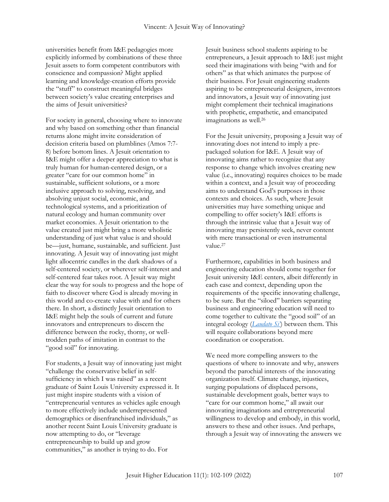universities benefit from I&E pedagogies more explicitly informed by combinations of these three Jesuit assets to form competent contributors with conscience and compassion? Might applied learning and knowledge-creation efforts provide the "stuff" to construct meaningful bridges between society's value creating enterprises and the aims of Jesuit universities?

For society in general, choosing where to innovate and why based on something other than financial returns alone might invite consideration of decision criteria based on plumblines (Amos 7:7- 8) before bottom lines. A Jesuit orientation to I&E might offer a deeper appreciation to what is truly human for human-centered design, or a greater "care for our common home" in sustainable, sufficient solutions, or a more inclusive approach to solving, resolving, and absolving unjust social, economic, and technological systems, and a prioritization of natural ecology and human community over market economies. A Jesuit orientation to the value created just might bring a more wholistic understanding of just what value is and should be—just, humane, sustainable, and sufficient. Just innovating. A Jesuit way of innovating just might light allocentric candles in the dark shadows of a self-centered society, or wherever self-interest and self-centered fear takes root. A Jesuit way might clear the way for souls to progress and the hope of faith to discover where God is already moving in this world and co-create value with and for others there. In short, a distinctly Jesuit orientation to I&E might help the souls of current and future innovators and entrepreneurs to discern the difference between the rocky, thorny, or welltrodden paths of imitation in contrast to the "good soil" for innovating.

For students, a Jesuit way of innovating just might "challenge the conservative belief in selfsufficiency in which I was raised" as a recent graduate of Saint Louis University expressed it. It just might inspire students with a vision of "entrepreneurial ventures as vehicles agile enough to more effectively include underrepresented demographics or disenfranchised individuals," as another recent Saint Louis University graduate is now attempting to do, or "leverage entrepreneurship to build up and grow communities," as another is trying to do. For

Jesuit business school students aspiring to be entrepreneurs, a Jesuit approach to I&E just might seed their imaginations with being "with and for others" as that which animates the purpose of their business. For Jesuit engineering students aspiring to be entrepreneurial designers, inventors and innovators, a Jesuit way of innovating just might complement their technical imaginations with prophetic, empathetic, and emancipated imaginations as well.<sup>26</sup>

For the Jesuit university, proposing a Jesuit way of innovating does not intend to imply a prepackaged solution for I&E. A Jesuit way of innovating aims rather to recognize that any response to change which involves creating new value (i.e., innovating) requires choices to be made within a context, and a Jesuit way of proceeding aims to understand God's purposes in those contexts and choices. As such, where Jesuit universities may have something unique and compelling to offer society's I&E efforts is through the intrinsic value that a Jesuit way of innovating may persistently seek, never content with mere transactional or even instrumental value.<sup>27</sup>

Furthermore, capabilities in both business and engineering education should come together for Jesuit university I&E centers, albeit differently in each case and context, depending upon the requirements of the specific innovating challenge, to be sure. But the "siloed" barriers separating business and engineering education will need to come together to cultivate the "good soil" of an integral ecology (*[Laudato Si](https://www.vatican.va/content/francesco/en/encyclicals/documents/papa-francesco_20150524_enciclica-laudato-si.html)'*) between them. This will require collaborations beyond mere coordination or cooperation.

We need more compelling answers to the questions of where to innovate and why, answers beyond the parochial interests of the innovating organization itself. Climate change, injustices, surging populations of displaced persons, sustainable development goals, better ways to "care for our common home," all await our innovating imaginations and entrepreneurial willingness to develop and embody, in this world, answers to these and other issues. And perhaps, through a Jesuit way of innovating the answers we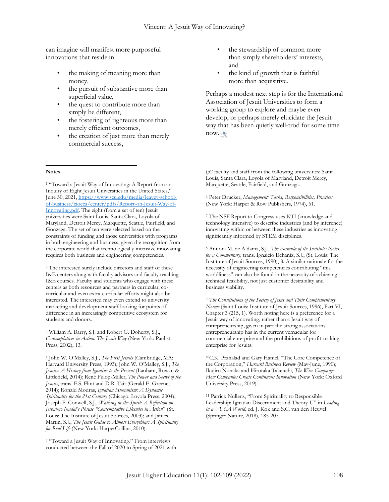can imagine will manifest more purposeful innovations that reside in

- the making of meaning more than money,
- the pursuit of substantive more than superficial value,
- the quest to contribute more than simply be different,
- the fostering of righteous more than merely efficient outcomes,
- the creation of just more than merely commercial success,

#### **Notes**  $\overline{a}$

<sup>1</sup> "Toward a Jesuit Way of Innovating: A Report from an Inquiry of Eight Jesuit Universities in the United States," June 30, 2021, [https://www.scu.edu/media/leavey-school](https://www.scu.edu/media/leavey-school-of-business/ciocca/center/pdfs/Report-on-Jesuit-Way-of-Innovating.pdf)[of-business/ciocca/center/pdfs/Report-on-Jesuit-Way-of-](https://www.scu.edu/media/leavey-school-of-business/ciocca/center/pdfs/Report-on-Jesuit-Way-of-Innovating.pdf)[Innovating.pdf.](https://www.scu.edu/media/leavey-school-of-business/ciocca/center/pdfs/Report-on-Jesuit-Way-of-Innovating.pdf) The eight (from a set of ten) Jesuit yniversities were Saint Louis, Santa Clara, Loyola of Maryland, Detroit Mercy, Marquette, Seattle, Fairfield, and Gonzaga. The set of ten were selected based on the constraints of funding and those universities with programs in both engineering and business, given the recognition from the corporate world that technologically-intensive innovating requires both business and engineering competencies.

<sup>2</sup> The interested surely include directors and staff of these I&E centers along with faculty advisors and faculty teaching I&E courses. Faculty and students who engage with these centers as both resources and partners in curricular, cocurricular and even extra-curricular efforts might also be interested. The interested may even extend to university marketing and development staff looking for points of difference in an increasingly competitive ecosystem for students and donors.

<sup>3</sup> William A. Barry, S.J. and Robert G. Doherty, S.J., *Contemplatives in Action: The Jesuit Way* (New York: Paulist Press, 2002), 13.

<sup>4</sup> John W. O'Malley, S.J., *The First Jesuits* (Cambridge, MA: Harvard University Press, 1993); John W. O'Malley, S.J., *The Jesuits: A History from Ignatius to the Present* (Lanham, Rowan & Littlefield, 2014); René Fulop-Miller, *The Power and Secret of the Jesuits*, trans. F.S. Flint and D.R. Tait (Gerald E. Greene, 2014); Ronald Modras, *Ignatian Humanism: A Dynamic Spirituality for the 21st Century* (Chicago: Loyola Press, 2004); Joseph F. Conwell, S.J., *Walking in the Spirit: A Reflection on Jeronimo Nadal's Phrase "Contemplative Likewise in Action*" (St. Louis: The Institute of Jesuit Sources, 2003); and James Martin, S.J., *The Jesuit Guide to Almost Everything: A Spirituality for Real Life* (New York: HarperCollins, 2010).

<sup>5</sup> "Toward a Jesuit Way of Innovating." From interviews conducted between the Fall of 2020 to Spring of 2021 with

- the stewardship of common more than simply shareholders' interests, and
- the kind of growth that is faithful more than acquisitive.

Perhaps a modest next step is for the International Association of Jesuit Universities to form a working group to explore and maybe even develop, or perhaps merely elucidate the Jesuit way that has been quietly well-trod for some time now. HE

(52 faculty and staff from the following universities: Saint Louis, Santa Clara, Loyola of Maryland, Detroit Mercy, Marquette, Seattle, Fairfield, and Gonzaga.

<sup>6</sup> Peter Drucker, *Management: Tasks, Responsibilities, Practices*  (New York: Harper & Row Publishers, 1974), 61.

<sup>7</sup> The NSF Report to Congress uses KTI (knowledge and technology intensive) to describe industries (and by inference) innovating within or between these industries as innovating significantly informed by STEM disciplines.

<sup>8</sup> Antioni M. de Aldama, S.J., *The Formula of the Institute: Notes for a Commentary,* trans. Ignaicio Echaniz, S.J., (St. Louis: The Institute of Jesuit Sources, 1990), 8. A similar rationale for the necessity of engineering competencies contributing "this worldliness" can also be found in the necessity of achieving technical feasibility, not just customer desirability and business viability.

<sup>9</sup> *The Constitutions of the Society of Jesus and Their Complementary Norms* (Saint Louis: Institute of Jesuit Sources, 1996), Part VI, Chapter 3 (215, 1). Worth noting here is a preference for a Jesuit way of innovating, rather than a Jesuit way of entrepreneurship, given in part the strong associations entrepreneurship has in the current vernacular for commercial enterprise and the prohibitions of profit-making enterprise for Jesuits.

<sup>10</sup>C.K. Prahalad and Gary Hamel, "The Core Competence of the Corporation," *Harvard Business Review* (May-June, 1990); Ikujiro Nonaka and Hirotaka Takeuchi, *The Wise Company: How Companies Create Continuous Innovation* (New York: Oxford University Press, 2019).

<sup>11</sup> Patrick Nullens, "From Spirituality to Responsible Leadership: Ignatian Discernment and Theory-U" in *Leading in a VUCA World,* ed*.* J. Kok and S.C. van den Heuvel (Springer Nature, 2018), 185-207.